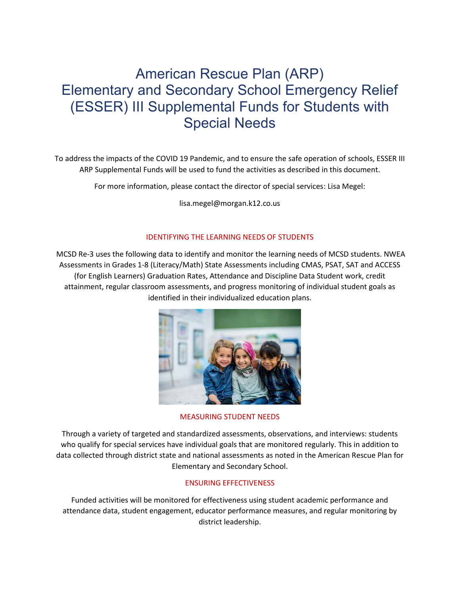# American Rescue Plan (ARP) Elementary and Secondary School Emergency Relief (ESSER) III Supplemental Funds for Students with Special Needs

To address the impacts of the COVID 19 Pandemic, and to ensure the safe operation of schools, ESSER III ARP Supplemental Funds will be used to fund the activities as described in this document.

For more information, please contact the director of special services: Lisa Megel:

lisa.megel@morgan.k12.co.us

## IDENTIFYING THE LEARNING NEEDS OF STUDENTS

MCSD Re-3 uses the following data to identify and monitor the learning needs of MCSD students. NWEA Assessments in Grades 1-8 (Literacy/Math) State Assessments including CMAS, PSAT, SAT and ACCESS (for English Learners) Graduation Rates, Attendance and Discipline Data Student work, credit attainment, regular classroom assessments, and progress monitoring of individual student goals as identified in their individualized education plans.



MEASURING STUDENT NEEDS

Through a variety of targeted and standardized assessments, observations, and interviews: students who qualify for special services have individual goals that are monitored regularly. This in addition to data collected through district state and national assessments as noted in the American Rescue Plan for Elementary and Secondary School.

# ENSURING EFFECTIVENESS

Funded activities will be monitored for effectiveness using student academic performance and attendance data, student engagement, educator performance measures, and regular monitoring by district leadership.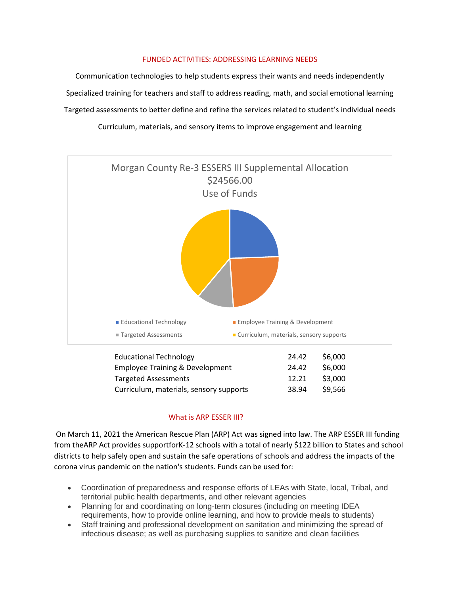## FUNDED ACTIVITIES: ADDRESSING LEARNING NEEDS

Communication technologies to help students express their wants and needs independently Specialized training for teachers and staff to address reading, math, and social emotional learning Targeted assessments to better define and refine the services related to student's individual needs Curriculum, materials, and sensory items to improve engagement and learning



## What is ARP ESSER III?

On March 11, 2021 the American Rescue Plan (ARP) Act was signed into law. The ARP ESSER III funding from theARP Act provides supportforK-12 schools with a total of nearly \$122 billion to States and school districts to help safely open and sustain the safe operations of schools and address the impacts of the corona virus pandemic on the nation's students. Funds can be used for:

- Coordination of preparedness and response efforts of LEAs with State, local, Tribal, and territorial public health departments, and other relevant agencies
- Planning for and coordinating on long-term closures (including on meeting IDEA requirements, how to provide online learning, and how to provide meals to students)
- Staff training and professional development on sanitation and minimizing the spread of infectious disease; as well as purchasing supplies to sanitize and clean facilities